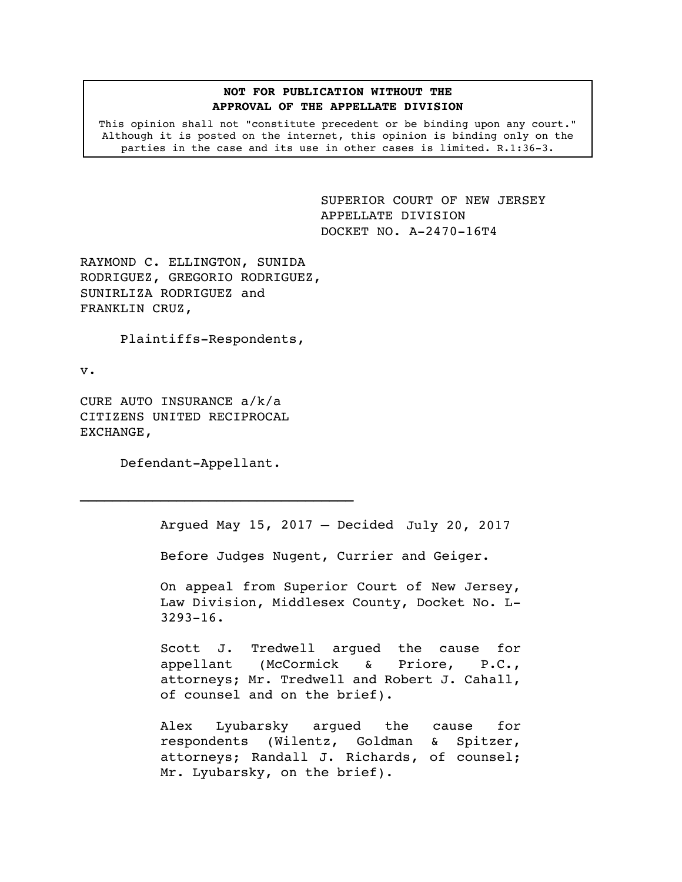### **NOT FOR PUBLICATION WITHOUT THE APPROVAL OF THE APPELLATE DIVISION**

This opinion shall not "constitute precedent or be binding upon any court." Although it is posted on the internet, this opinion is binding only on the parties in the case and its use in other cases is limited. R.1:36-3.

> <span id="page-0-0"></span>SUPERIOR COURT OF NEW JERSEY APPELLATE DIVISION DOCKET NO. A-2470-16T4

RAYMOND C. ELLINGTON, SUNIDA RODRIGUEZ, GREGORIO RODRIGUEZ, SUNIRLIZA RODRIGUEZ and FRANKLIN CRUZ,

Plaintiffs-Respondents,

v.

CURE AUTO INSURANCE a/k/a CITIZENS UNITED RECIPROCAL EXCHANGE,

Defendant-Appellant.

 $\mathcal{L}_\text{max}$ 

Argued May 15, 2017 – Decided July 20, 2017

Before Judges Nugent, Currier and Geiger.

On appeal from Superior Court of New Jersey, Law Division, Middlesex County, Docket No. L-3293-16.

Scott J. Tredwell argued the cause for appellant (McCormick & Priore, P.C., attorneys; Mr. Tredwell and Robert J. Cahall, of counsel and on the brief).

Alex Lyubarsky argued the cause for respondents (Wilentz, Goldman & Spitzer, attorneys; Randall J. Richards, of counsel; Mr. Lyubarsky, on the brief).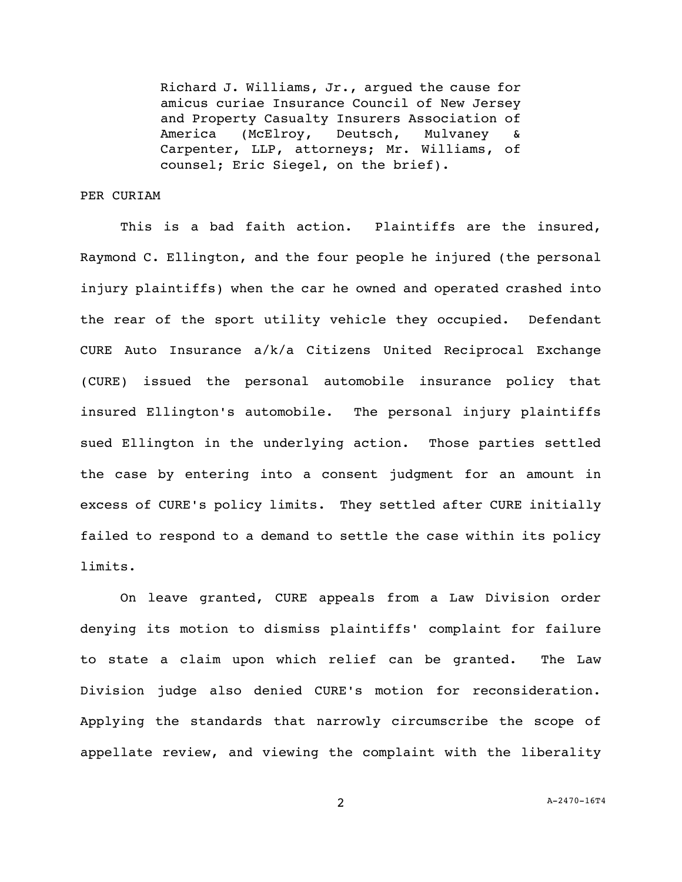Richard J. Williams, Jr., argued the cause for amicus curiae Insurance Council of New Jersey and Property Casualty Insurers Association of America (McElroy, Deutsch, Mulvaney Carpenter, LLP, attorneys; Mr. Williams, of counsel; Eric Siegel, on the brief).

# PER CURIAM

This is a bad faith action. Plaintiffs are the insured, Raymond C. Ellington, and the four people he injured (the personal injury plaintiffs) when the car he owned and operated crashed into the rear of the sport utility vehicle they occupied. Defendant CURE Auto Insurance a/k/a Citizens United Reciprocal Exchange (CURE) issued the personal automobile insurance policy that insured Ellington's automobile. The personal injury plaintiffs sued Ellington in the underlying action. Those parties settled the case by entering into a consent judgment for an amount in excess of CURE's policy limits. They settled after CURE initially failed to respond to a demand to settle the case within its policy limits.

On leave granted, CURE appeals from a Law Division order denying its motion to dismiss plaintiffs' complaint for failure to state a claim upon which relief can be granted. The Law Division judge also denied CURE's motion for reconsideration. Applying the standards that narrowly circumscribe the scope of appellate review, and viewing the complaint with the liberality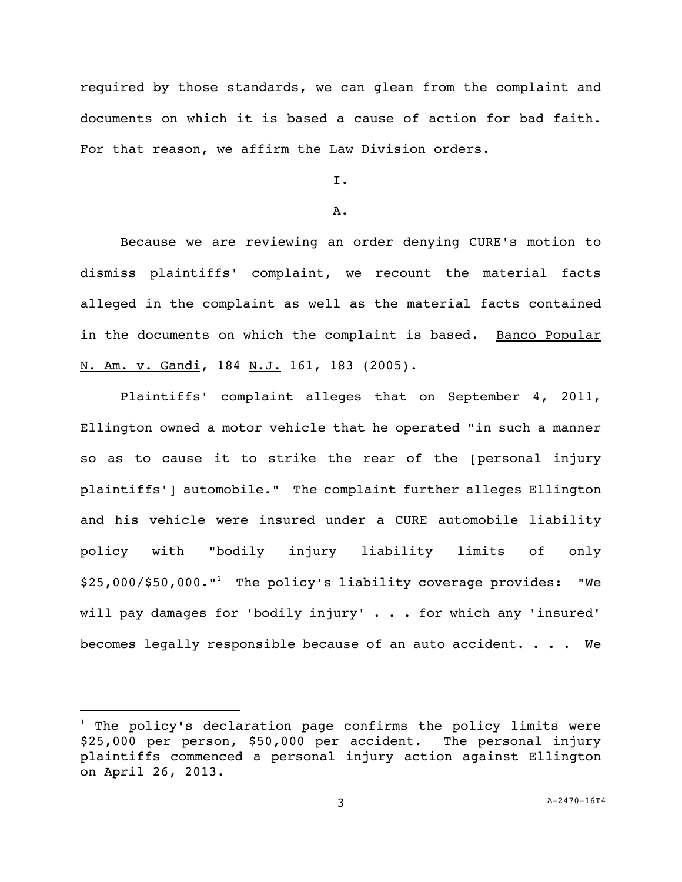required by those standards, we can glean from the complaint and documents on which it is based a cause of action for bad faith. For that reason, we affirm the Law Division orders.

# I.

#### A.

Because we are reviewing an order denying CURE's motion to dismiss plaintiffs' complaint, we recount the material facts alleged in the complaint as well as the material facts contained in the documents on which the complaint is based. Banco Popular N. Am. v. Gandi, 184 N.J. 161, 183 (2005).

Plaintiffs' complaint alleges that on September 4, 2011, Ellington owned a motor vehicle that he operated "in such a manner so as to cause it to strike the rear of the [personal injury plaintiffs'] automobile." The complaint further alleges Ellington and his vehicle were insured under a CURE automobile liability policy with "bodily injury liability limits of only \$25,000/\$50,000."<sup>1</sup> The policy's liability coverage provides: "We will pay damages for 'bodily injury' . . . for which any 'insured' becomes legally responsible because of an auto accident. . . . We

i<br>L

 $1$  The policy's declaration page confirms the policy limits were \$25,000 per person, \$50,000 per accident. The personal injury plaintiffs commenced a personal injury action against Ellington on April 26, 2013.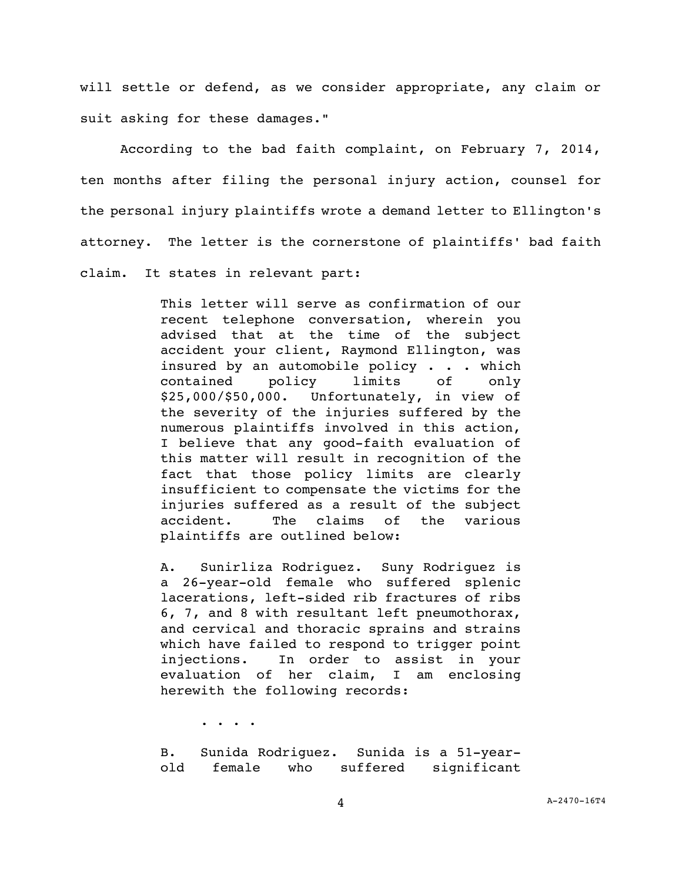will settle or defend, as we consider appropriate, any claim or suit asking for these damages."

According to the bad faith complaint, on February 7, 2014, ten months after filing the personal injury action, counsel for the personal injury plaintiffs wrote a demand letter to Ellington's attorney. The letter is the cornerstone of plaintiffs' bad faith claim. It states in relevant part:

> This letter will serve as confirmation of our recent telephone conversation, wherein you advised that at the time of the subject accident your client, Raymond Ellington, was insured by an automobile policy . . . which contained policy limits of only \$25,000/\$50,000. Unfortunately, in view of the severity of the injuries suffered by the numerous plaintiffs involved in this action, I believe that any good-faith evaluation of this matter will result in recognition of the fact that those policy limits are clearly insufficient to compensate the victims for the injuries suffered as a result of the subject accident. The claims of the various plaintiffs are outlined below:

> A. Sunirliza Rodriguez. Suny Rodriguez is a 26-year-old female who suffered splenic lacerations, left-sided rib fractures of ribs 6, 7, and 8 with resultant left pneumothorax, and cervical and thoracic sprains and strains which have failed to respond to trigger point injections. In order to assist in your evaluation of her claim, I am enclosing herewith the following records:

> > . . . .

B. Sunida Rodriguez. Sunida is a 51-yearold female who suffered significant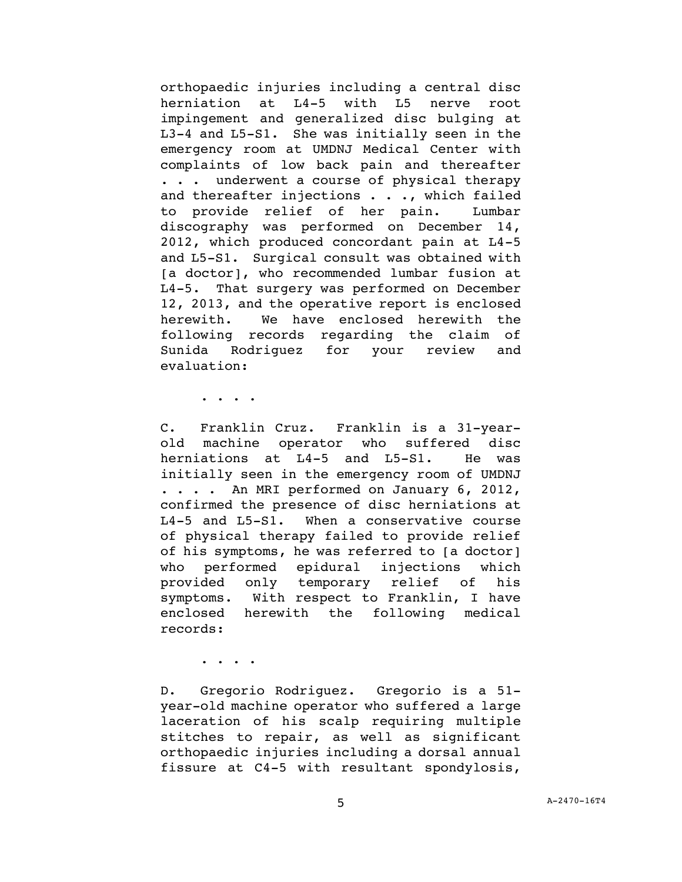orthopaedic injuries including a central disc herniation at L4-5 with L5 nerve root impingement and generalized disc bulging at L3-4 and L5-S1. She was initially seen in the emergency room at UMDNJ Medical Center with complaints of low back pain and thereafter . . . underwent a course of physical therapy and thereafter injections . . ., which failed to provide relief of her pain. Lumbar discography was performed on December 14, 2012, which produced concordant pain at L4-5 and L5-S1. Surgical consult was obtained with [a doctor], who recommended lumbar fusion at L4-5. That surgery was performed on December 12, 2013, and the operative report is enclosed herewith. We have enclosed herewith the following records regarding the claim of Sunida Rodriguez for your review and evaluation:

. . . .

C. Franklin Cruz. Franklin is a 31-yearold machine operator who suffered disc herniations at L4-5 and L5-S1. He was initially seen in the emergency room of UMDNJ . . . . An MRI performed on January 6, 2012, confirmed the presence of disc herniations at L4-5 and L5-S1. When a conservative course of physical therapy failed to provide relief of his symptoms, he was referred to [a doctor] who performed epidural injections which provided only temporary relief of his symptoms. With respect to Franklin, I have enclosed herewith the following medical records:

. . . .

D. Gregorio Rodriguez. Gregorio is a 51 year-old machine operator who suffered a large laceration of his scalp requiring multiple stitches to repair, as well as significant orthopaedic injuries including a dorsal annual fissure at C4-5 with resultant spondylosis,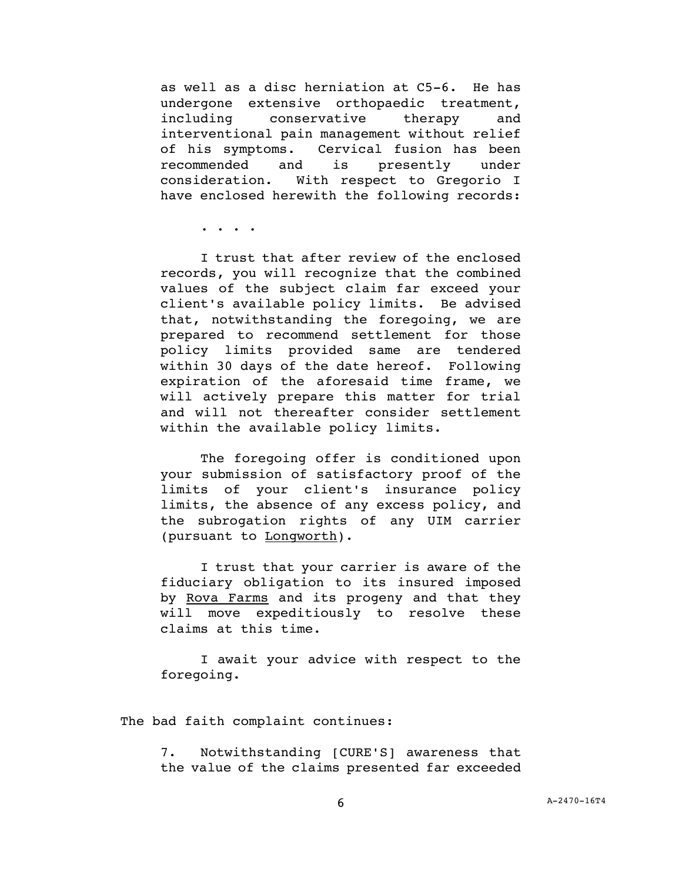as well as a disc herniation at C5-6. He has undergone extensive orthopaedic treatment, including conservative therapy and interventional pain management without relief of his symptoms. Cervical fusion has been recommended and is presently under consideration. With respect to Gregorio I have enclosed herewith the following records:

. . . .

I trust that after review of the enclosed records, you will recognize that the combined values of the subject claim far exceed your client's available policy limits. Be advised that, notwithstanding the foregoing, we are prepared to recommend settlement for those policy limits provided same are tendered within 30 days of the date hereof. Following expiration of the aforesaid time frame, we will actively prepare this matter for trial and will not thereafter consider settlement within the available policy limits.

The foregoing offer is conditioned upon your submission of satisfactory proof of the limits of your client's insurance policy limits, the absence of any excess policy, and the subrogation rights of any UIM carrier (pursuant to Longworth).

I trust that your carrier is aware of the fiduciary obligation to its insured imposed by Rova Farms and its progeny and that they will move expeditiously to resolve these claims at this time.

I await your advice with respect to the foregoing.

The bad faith complaint continues:

7. Notwithstanding [CURE'S] awareness that the value of the claims presented far exceeded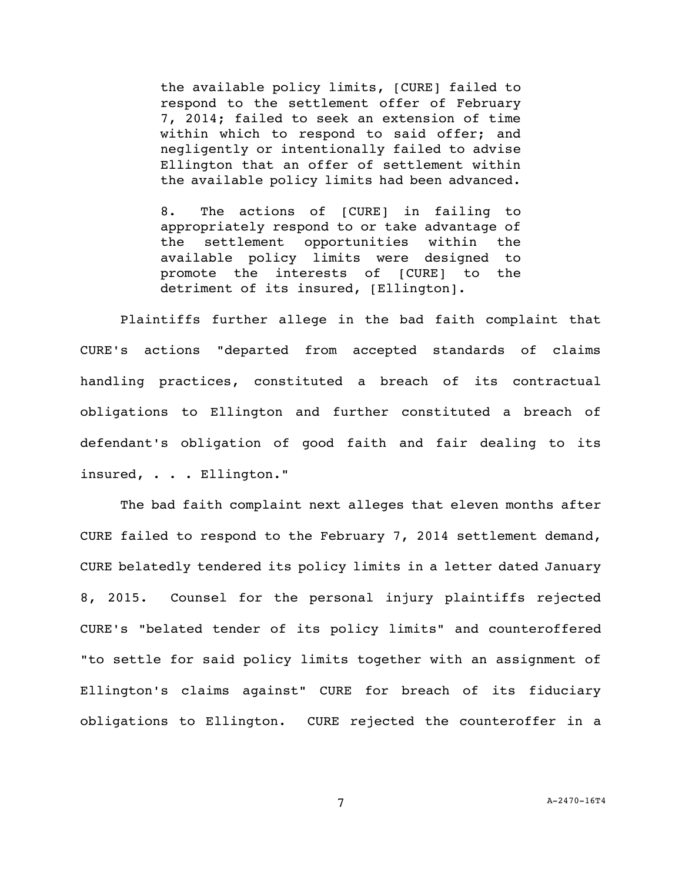the available policy limits, [CURE] failed to respond to the settlement offer of February 7, 2014; failed to seek an extension of time within which to respond to said offer; and negligently or intentionally failed to advise Ellington that an offer of settlement within the available policy limits had been advanced.

8. The actions of [CURE] in failing to appropriately respond to or take advantage of the settlement opportunities within the available policy limits were designed to promote the interests of [CURE] to the detriment of its insured, [Ellington].

Plaintiffs further allege in the bad faith complaint that CURE's actions "departed from accepted standards of claims handling practices, constituted a breach of its contractual obligations to Ellington and further constituted a breach of defendant's obligation of good faith and fair dealing to its insured, . . . Ellington."

The bad faith complaint next alleges that eleven months after CURE failed to respond to the February 7, 2014 settlement demand, CURE belatedly tendered its policy limits in a letter dated January 8, 2015. Counsel for the personal injury plaintiffs rejected CURE's "belated tender of its policy limits" and counteroffered "to settle for said policy limits together with an assignment of Ellington's claims against" CURE for breach of its fiduciary obligations to Ellington. CURE rejected the counteroffer in a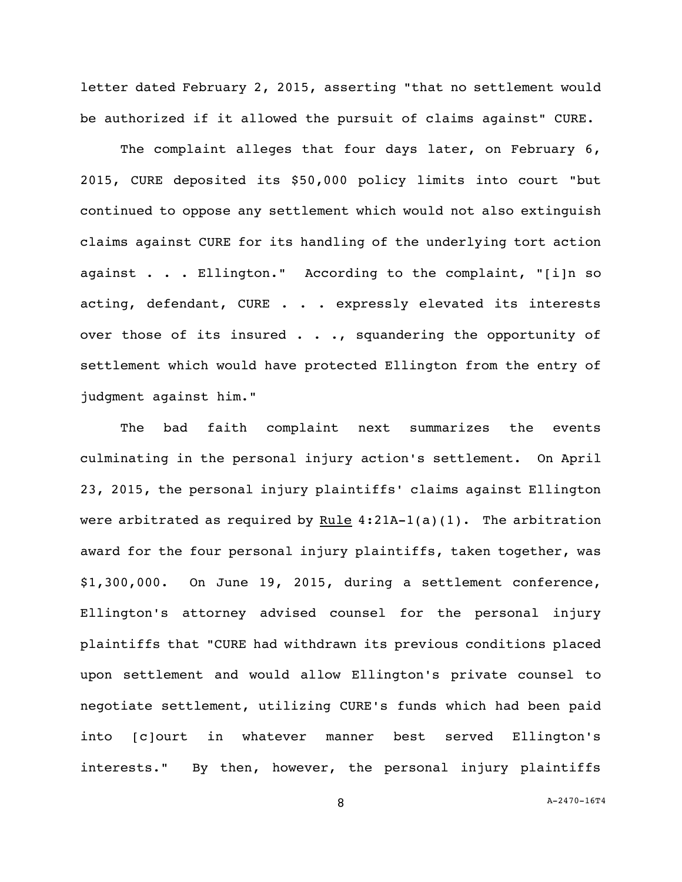letter dated February 2, 2015, asserting "that no settlement would be authorized if it allowed the pursuit of claims against" CURE.

The complaint alleges that four days later, on February 6, 2015, CURE deposited its \$50,000 policy limits into court "but continued to oppose any settlement which would not also extinguish claims against CURE for its handling of the underlying tort action against . . . Ellington." According to the complaint, "[i]n so acting, defendant, CURE . . . expressly elevated its interests over those of its insured . . ., squandering the opportunity of settlement which would have protected Ellington from the entry of judgment against him."

The bad faith complaint next summarizes the events culminating in the personal injury action's settlement. On April 23, 2015, the personal injury plaintiffs' claims against Ellington were arbitrated as required by Rule  $4:21A-1(a)(1)$ . The arbitration award for the four personal injury plaintiffs, taken together, was \$1,300,000. On June 19, 2015, during a settlement conference, Ellington's attorney advised counsel for the personal injury plaintiffs that "CURE had withdrawn its previous conditions placed upon settlement and would allow Ellington's private counsel to negotiate settlement, utilizing CURE's funds which had been paid into [c]ourt in whatever manner best served Ellington's interests." By then, however, the personal injury plaintiffs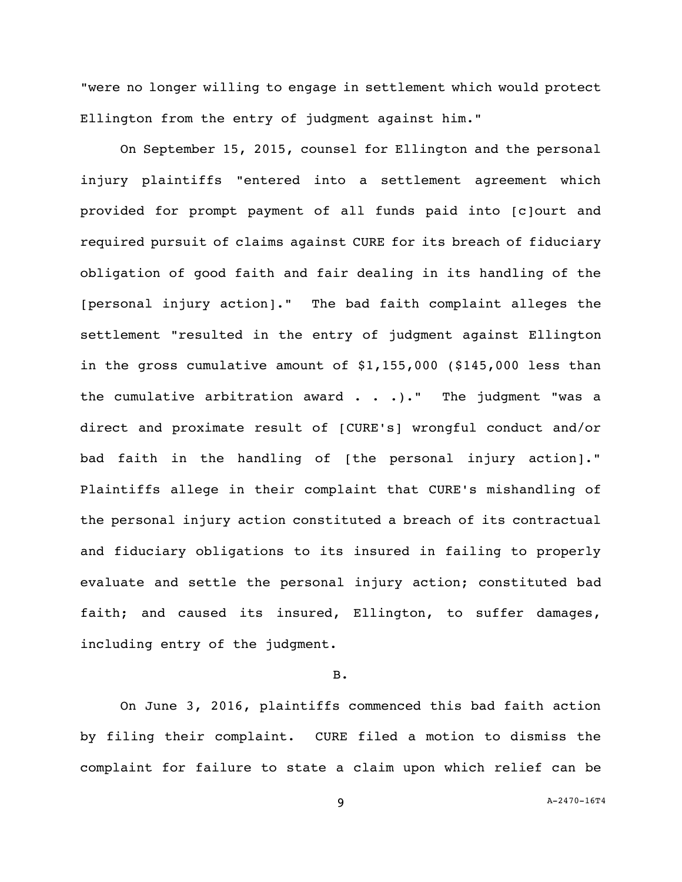"were no longer willing to engage in settlement which would protect Ellington from the entry of judgment against him."

On September 15, 2015, counsel for Ellington and the personal injury plaintiffs "entered into a settlement agreement which provided for prompt payment of all funds paid into [c]ourt and required pursuit of claims against CURE for its breach of fiduciary obligation of good faith and fair dealing in its handling of the [personal injury action]." The bad faith complaint alleges the settlement "resulted in the entry of judgment against Ellington in the gross cumulative amount of \$1,155,000 (\$145,000 less than the cumulative arbitration award  $\ldots$ . ... The judgment "was a direct and proximate result of [CURE's] wrongful conduct and/or bad faith in the handling of [the personal injury action]." Plaintiffs allege in their complaint that CURE's mishandling of the personal injury action constituted a breach of its contractual and fiduciary obligations to its insured in failing to properly evaluate and settle the personal injury action; constituted bad faith; and caused its insured, Ellington, to suffer damages, including entry of the judgment.

### B.

On June 3, 2016, plaintiffs commenced this bad faith action by filing their complaint. CURE filed a motion to dismiss the complaint for failure to state a claim upon which relief can be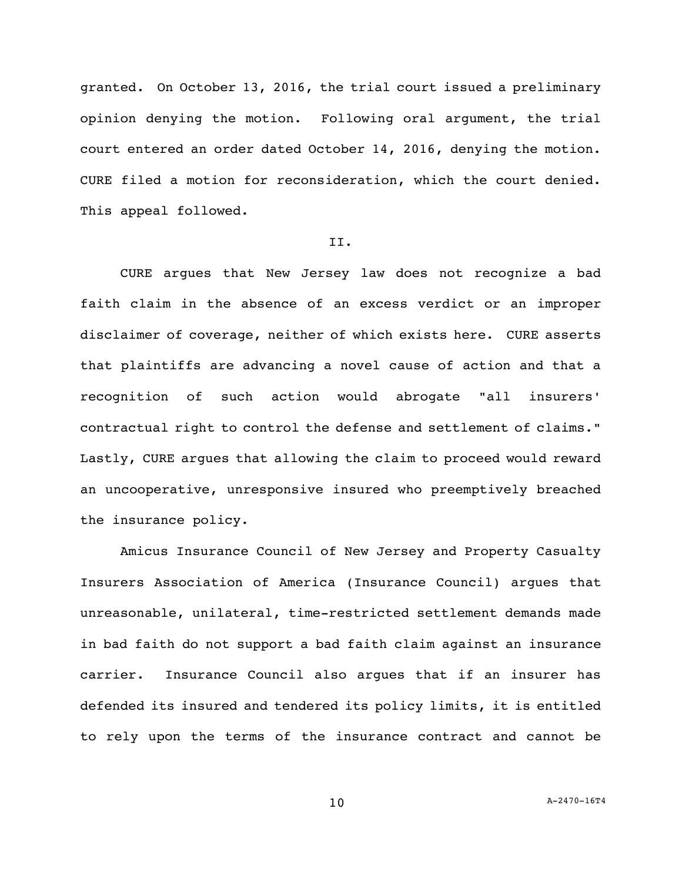granted. On October 13, 2016, the trial court issued a preliminary opinion denying the motion. Following oral argument, the trial court entered an order dated October 14, 2016, denying the motion. CURE filed a motion for reconsideration, which the court denied. This appeal followed.

### II.

CURE argues that New Jersey law does not recognize a bad faith claim in the absence of an excess verdict or an improper disclaimer of coverage, neither of which exists here. CURE asserts that plaintiffs are advancing a novel cause of action and that a recognition of such action would abrogate "all insurers' contractual right to control the defense and settlement of claims." Lastly, CURE argues that allowing the claim to proceed would reward an uncooperative, unresponsive insured who preemptively breached the insurance policy.

Amicus Insurance Council of New Jersey and Property Casualty Insurers Association of America (Insurance Council) argues that unreasonable, unilateral, time-restricted settlement demands made in bad faith do not support a bad faith claim against an insurance carrier. Insurance Council also argues that if an insurer has defended its insured and tendered its policy limits, it is entitled to rely upon the terms of the insurance contract and cannot be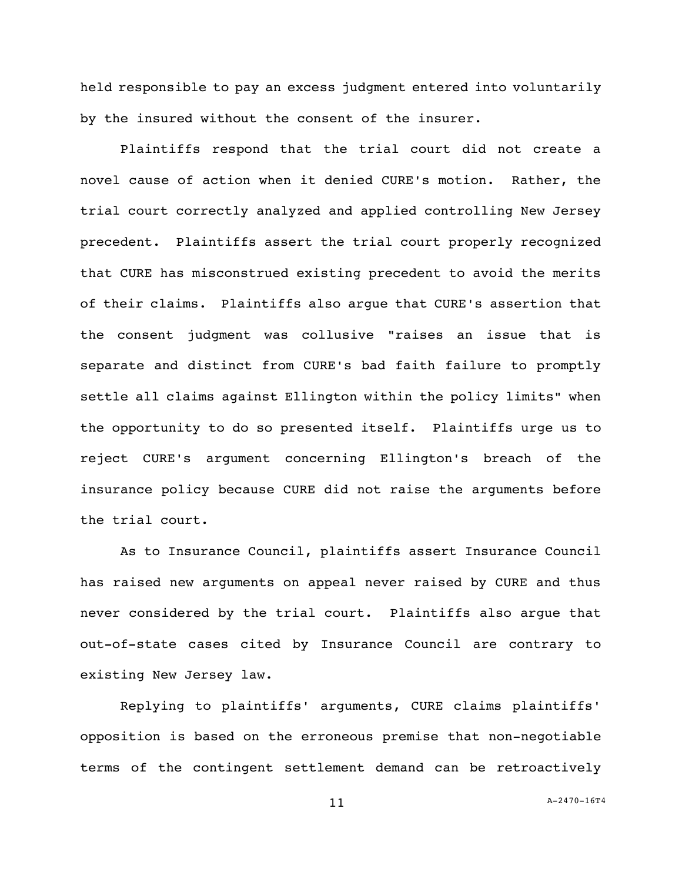held responsible to pay an excess judgment entered into voluntarily by the insured without the consent of the insurer.

Plaintiffs respond that the trial court did not create a novel cause of action when it denied CURE's motion. Rather, the trial court correctly analyzed and applied controlling New Jersey precedent. Plaintiffs assert the trial court properly recognized that CURE has misconstrued existing precedent to avoid the merits of their claims. Plaintiffs also argue that CURE's assertion that the consent judgment was collusive "raises an issue that is separate and distinct from CURE's bad faith failure to promptly settle all claims against Ellington within the policy limits" when the opportunity to do so presented itself. Plaintiffs urge us to reject CURE's argument concerning Ellington's breach of the insurance policy because CURE did not raise the arguments before the trial court.

As to Insurance Council, plaintiffs assert Insurance Council has raised new arguments on appeal never raised by CURE and thus never considered by the trial court. Plaintiffs also argue that out-of-state cases cited by Insurance Council are contrary to existing New Jersey law.

Replying to plaintiffs' arguments, CURE claims plaintiffs' opposition is based on the erroneous premise that non-negotiable terms of the contingent settlement demand can be retroactively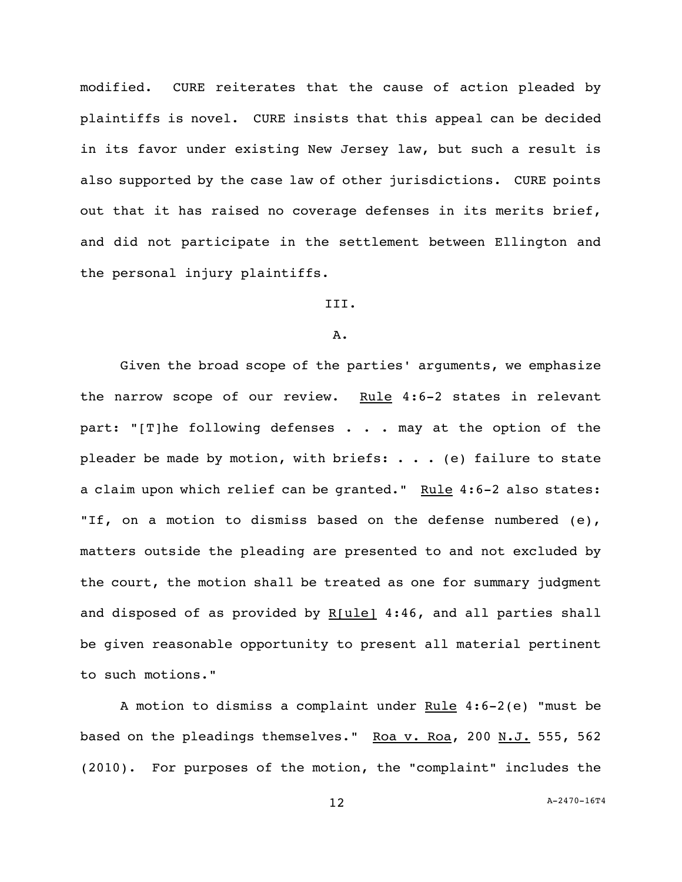modified. CURE reiterates that the cause of action pleaded by plaintiffs is novel. CURE insists that this appeal can be decided in its favor under existing New Jersey law, but such a result is also supported by the case law of other jurisdictions. CURE points out that it has raised no coverage defenses in its merits brief, and did not participate in the settlement between Ellington and the personal injury plaintiffs.

# III.

### A.

Given the broad scope of the parties' arguments, we emphasize the narrow scope of our review. Rule 4:6-2 states in relevant part: "[T]he following defenses . . . may at the option of the pleader be made by motion, with briefs:  $\ldots$  . (e) failure to state a claim upon which relief can be granted." Rule 4:6-2 also states: "If, on a motion to dismiss based on the defense numbered (e), matters outside the pleading are presented to and not excluded by the court, the motion shall be treated as one for summary judgment and disposed of as provided by R[ule] 4:46, and all parties shall be given reasonable opportunity to present all material pertinent to such motions."

A motion to dismiss a complaint under  $Rule 4:6-2(e)$  "must be based on the pleadings themselves." Roa v. Roa, 200 N.J. 555, 562 (2010). For purposes of the motion, the "complaint" includes the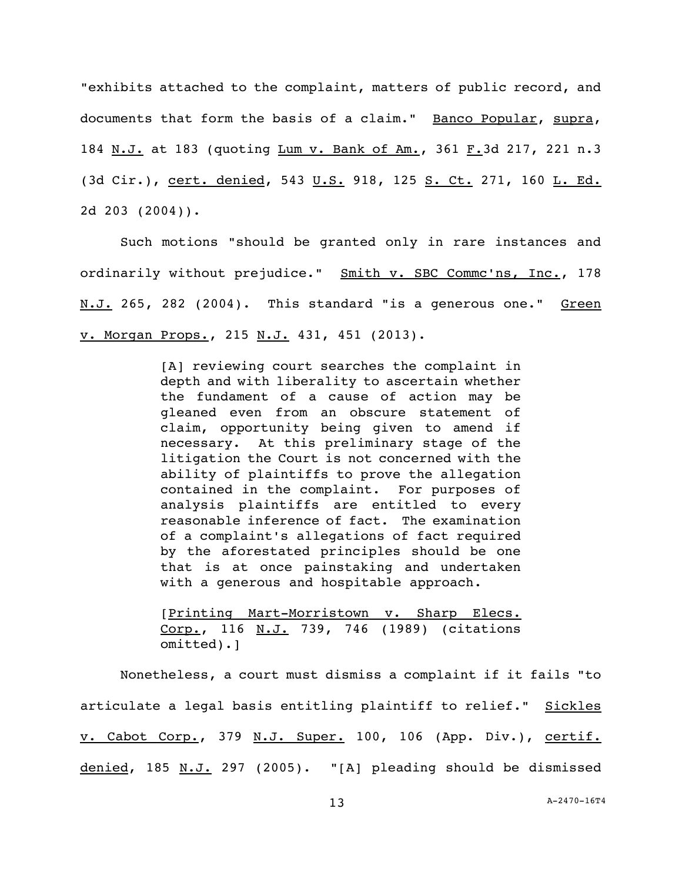"exhibits attached to the complaint, matters of public record, and documents that form the basis of a claim." Banco Popular, supra, 184 N.J. at 183 (quoting Lum v. Bank of Am., 361 F.3d 217, 221 n.3 (3d Cir.), cert. denied, 543 U.S. 918, 125 S. Ct. 271, 160 L. Ed. 2d 203 (2004)).

Such motions "should be granted only in rare instances and ordinarily without prejudice." Smith v. SBC Commc'ns, Inc., 178 N.J. 265, 282 (2004). This standard "is a generous one." Green v. Morgan Props., 215 N.J. 431, 451 (2013).

> [A] reviewing court searches the complaint in depth and with liberality to ascertain whether the fundament of a cause of action may be gleaned even from an obscure statement of claim, opportunity being given to amend if necessary. At this preliminary stage of the litigation the Court is not concerned with the ability of plaintiffs to prove the allegation contained in the complaint. For purposes of analysis plaintiffs are entitled to every reasonable inference of fact. The examination of a complaint's allegations of fact required by the aforestated principles should be one that is at once painstaking and undertaken with a generous and hospitable approach.

> [Printing Mart-Morristown v. Sharp Elecs. Corp., 116 N.J. 739, 746 (1989) (citations omitted).]

Nonetheless, a court must dismiss a complaint if it fails "to articulate a legal basis entitling plaintiff to relief." Sickles v. Cabot Corp., 379 N.J. Super. 100, 106 (App. Div.), certif. denied, 185 N.J. 297 (2005). "[A] pleading should be dismissed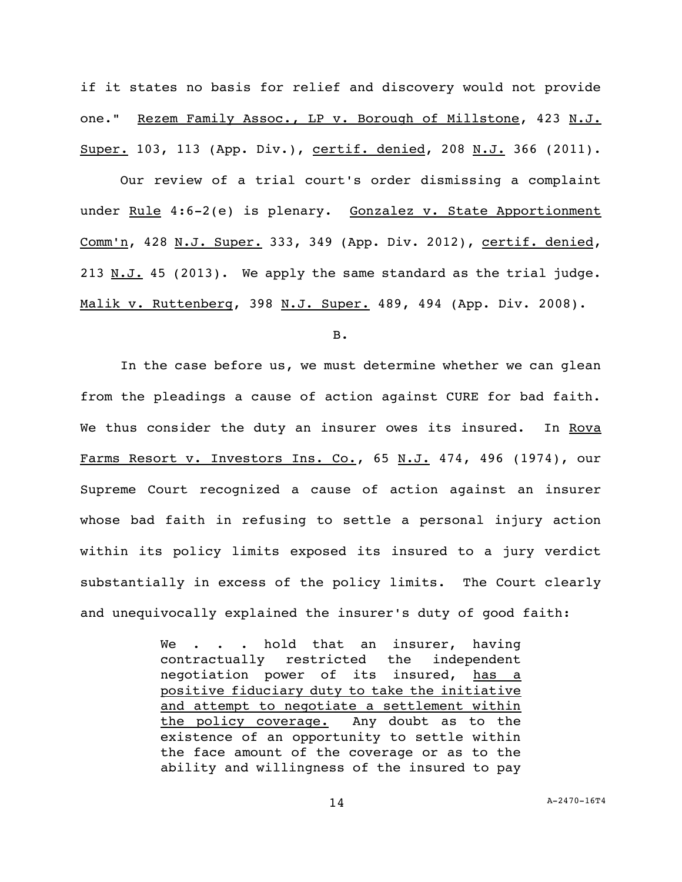if it states no basis for relief and discovery would not provide one." Rezem Family Assoc., LP v. Borough of Millstone, 423 N.J. Super. 103, 113 (App. Div.), certif. denied, 208 N.J. 366 (2011).

Our review of a trial court's order dismissing a complaint under Rule 4:6-2(e) is plenary. Gonzalez v. State Apportionment Comm'n, 428 N.J. Super. 333, 349 (App. Div. 2012), certif. denied, 213  $N.J.$  45 (2013). We apply the same standard as the trial judge. Malik v. Ruttenberg, 398 N.J. Super. 489, 494 (App. Div. 2008).

B.

In the case before us, we must determine whether we can glean from the pleadings a cause of action against CURE for bad faith. We thus consider the duty an insurer owes its insured. In Rova Farms Resort v. Investors Ins. Co., 65 N.J. 474, 496 (1974), our Supreme Court recognized a cause of action against an insurer whose bad faith in refusing to settle a personal injury action within its policy limits exposed its insured to a jury verdict substantially in excess of the policy limits. The Court clearly and unequivocally explained the insurer's duty of good faith:

> We . . . hold that an insurer, having contractually restricted the independent negotiation power of its insured, has a positive fiduciary duty to take the initiative and attempt to negotiate a settlement within the policy coverage. Any doubt as to the existence of an opportunity to settle within the face amount of the coverage or as to the ability and willingness of the insured to pay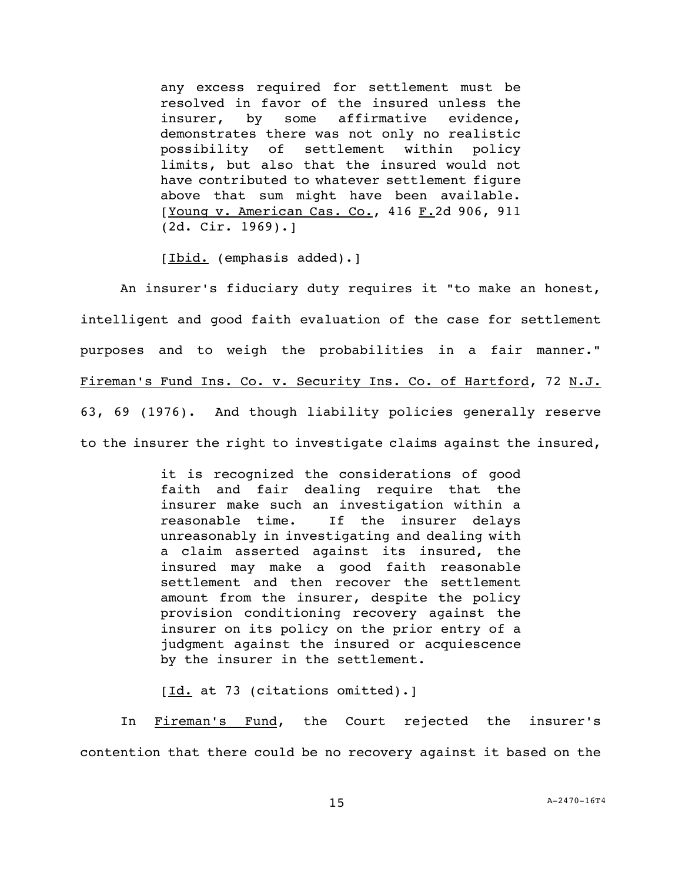any excess required for settlement must be resolved in favor of the insured unless the insurer, by some affirmative evidence, demonstrates there was not only no realistic possibility of settlement within policy limits, but also that the insured would not have contributed to whatever settlement figure above that sum might have been available. [Young v. American Cas. Co., 416 F.2d 906, 911 (2d. Cir. 1969).]

[Ibid. (emphasis added).]

An insurer's fiduciary duty requires it "to make an honest, intelligent and good faith evaluation of the case for settlement purposes and to weigh the probabilities in a fair manner." Fireman's Fund Ins. Co. v. Security Ins. Co. of Hartford, 72 N.J. 63, 69 (1976). And though liability policies generally reserve to the insurer the right to investigate claims against the insured,

> it is recognized the considerations of good faith and fair dealing require that the insurer make such an investigation within a reasonable time. If the insurer delays unreasonably in investigating and dealing with a claim asserted against its insured, the insured may make a good faith reasonable settlement and then recover the settlement amount from the insurer, despite the policy provision conditioning recovery against the insurer on its policy on the prior entry of a judgment against the insured or acquiescence by the insurer in the settlement.

[Id. at 73 (citations omitted).]

In Fireman's Fund, the Court rejected the insurer's contention that there could be no recovery against it based on the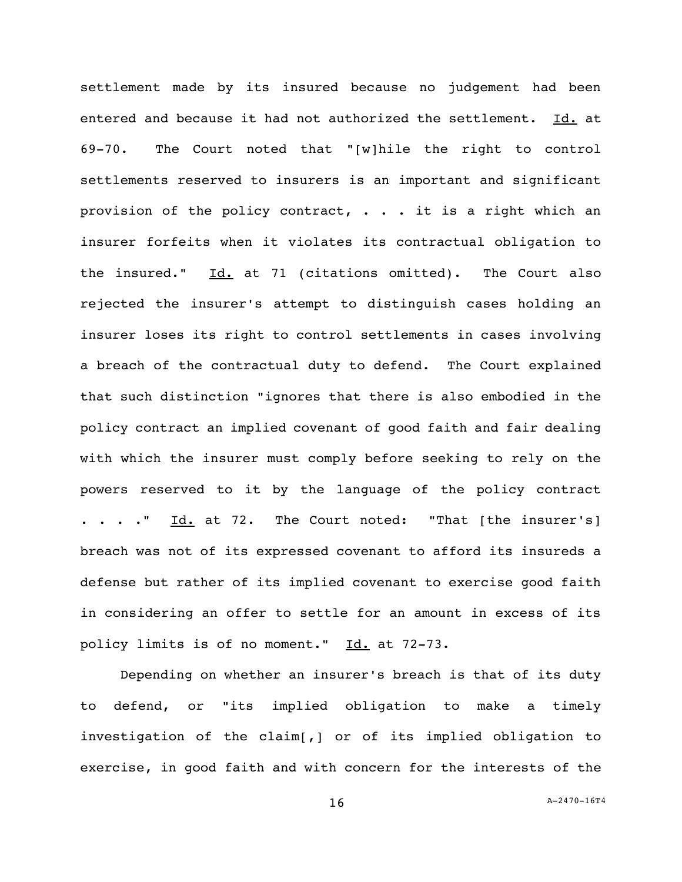settlement made by its insured because no judgement had been entered and because it had not authorized the settlement. Id. at 69-70. The Court noted that "[w]hile the right to control settlements reserved to insurers is an important and significant provision of the policy contract,  $\cdot \cdot \cdot$  it is a right which an insurer forfeits when it violates its contractual obligation to the insured."  $Id.$  at 71 (citations omitted). The Court also rejected the insurer's attempt to distinguish cases holding an insurer loses its right to control settlements in cases involving a breach of the contractual duty to defend. The Court explained that such distinction "ignores that there is also embodied in the policy contract an implied covenant of good faith and fair dealing with which the insurer must comply before seeking to rely on the powers reserved to it by the language of the policy contract . . . . <u>Id.</u> at 72. The Court noted: "That [the insurer's] breach was not of its expressed covenant to afford its insureds a defense but rather of its implied covenant to exercise good faith in considering an offer to settle for an amount in excess of its policy limits is of no moment." Id. at 72-73.

Depending on whether an insurer's breach is that of its duty to defend, or "its implied obligation to make a timely investigation of the claim[,] or of its implied obligation to exercise, in good faith and with concern for the interests of the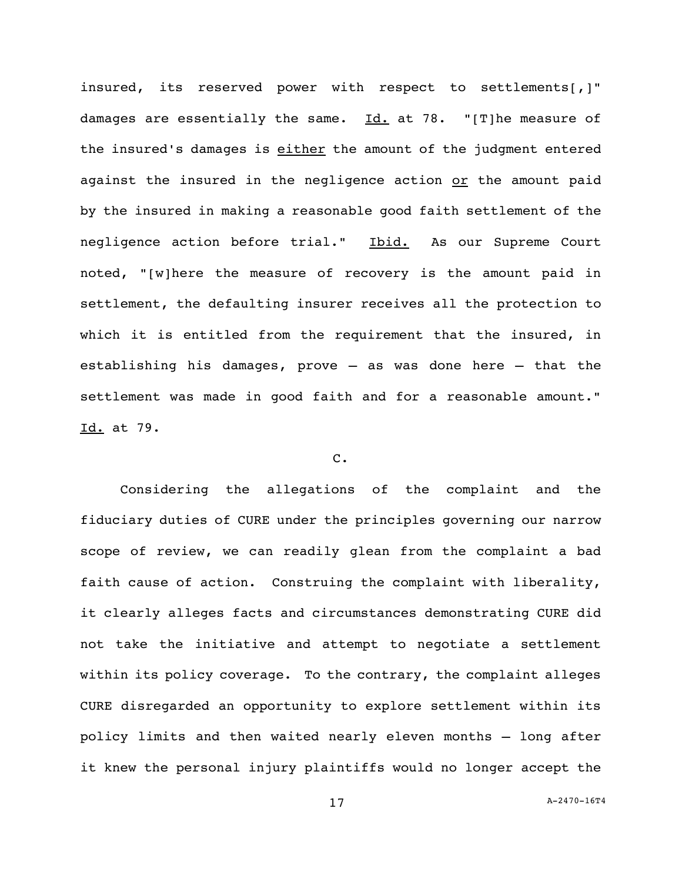insured, its reserved power with respect to settlements[,]" damages are essentially the same.  $Id.$  at 78. "[T]he measure of the insured's damages is either the amount of the judgment entered against the insured in the negligence action or the amount paid by the insured in making a reasonable good faith settlement of the negligence action before trial." Ibid. As our Supreme Court noted, "[w]here the measure of recovery is the amount paid in settlement, the defaulting insurer receives all the protection to which it is entitled from the requirement that the insured, in establishing his damages, prove – as was done here – that the settlement was made in good faith and for a reasonable amount." Id. at 79.

## C.

Considering the allegations of the complaint and the fiduciary duties of CURE under the principles governing our narrow scope of review, we can readily glean from the complaint a bad faith cause of action. Construing the complaint with liberality, it clearly alleges facts and circumstances demonstrating CURE did not take the initiative and attempt to negotiate a settlement within its policy coverage. To the contrary, the complaint alleges CURE disregarded an opportunity to explore settlement within its policy limits and then waited nearly eleven months — long after it knew the personal injury plaintiffs would no longer accept the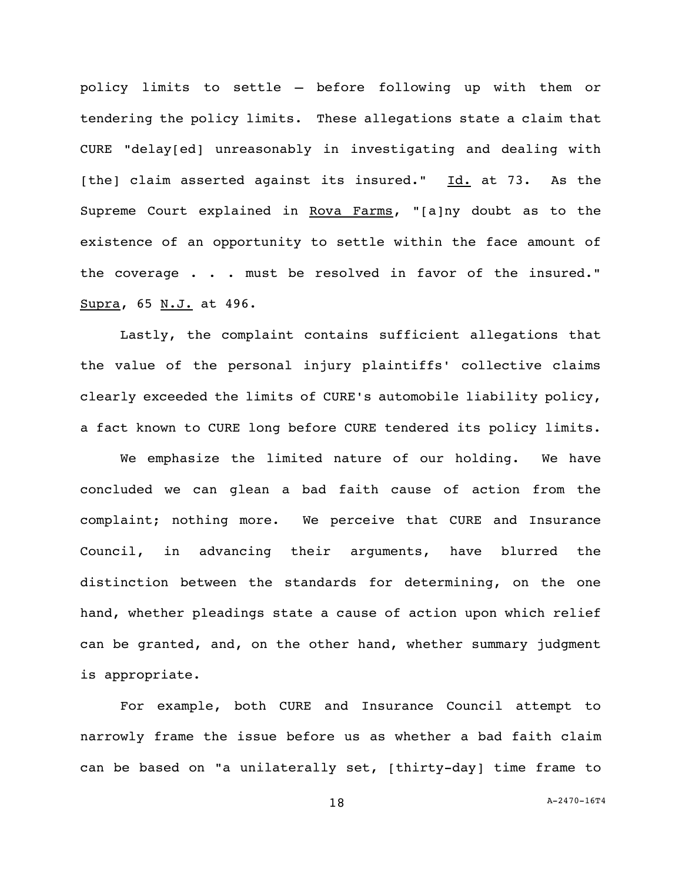policy limits to settle — before following up with them or tendering the policy limits. These allegations state a claim that CURE "delay[ed] unreasonably in investigating and dealing with [the] claim asserted against its insured."  $Id.$  at 73. As the Supreme Court explained in Rova Farms, "[a]ny doubt as to the existence of an opportunity to settle within the face amount of the coverage . . . must be resolved in favor of the insured." Supra, 65 N.J. at 496.

Lastly, the complaint contains sufficient allegations that the value of the personal injury plaintiffs' collective claims clearly exceeded the limits of CURE's automobile liability policy, a fact known to CURE long before CURE tendered its policy limits.

We emphasize the limited nature of our holding. We have concluded we can glean a bad faith cause of action from the complaint; nothing more. We perceive that CURE and Insurance Council, in advancing their arguments, have blurred the distinction between the standards for determining, on the one hand, whether pleadings state a cause of action upon which relief can be granted, and, on the other hand, whether summary judgment is appropriate.

For example, both CURE and Insurance Council attempt to narrowly frame the issue before us as whether a bad faith claim can be based on "a unilaterally set, [thirty-day] time frame to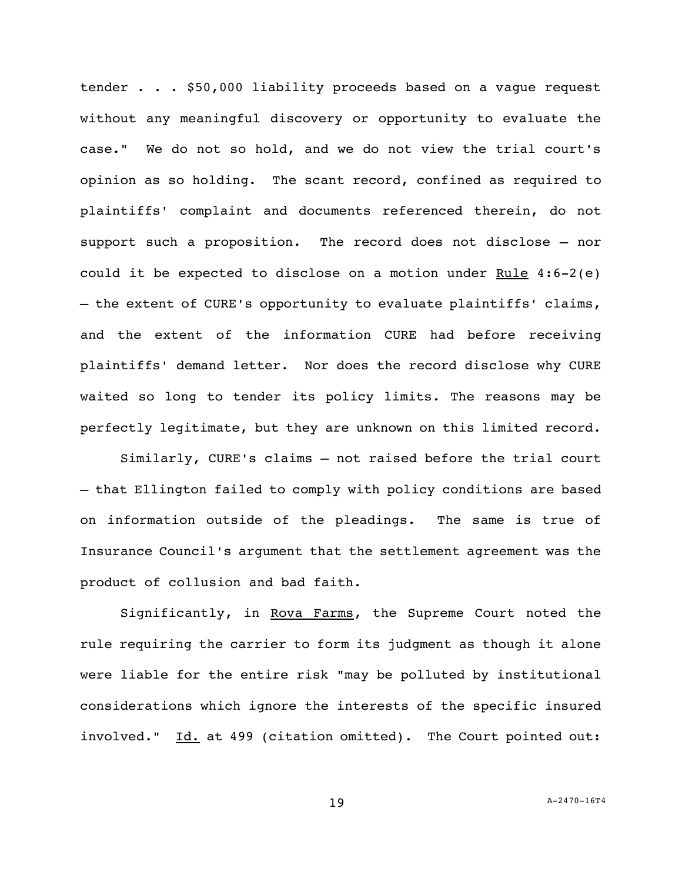tender . . . \$50,000 liability proceeds based on a vague request without any meaningful discovery or opportunity to evaluate the case." We do not so hold, and we do not view the trial court's opinion as so holding. The scant record, confined as required to plaintiffs' complaint and documents referenced therein, do not support such a proposition. The record does not disclose — nor could it be expected to disclose on a motion under  $Rule 4:6-2(e)$ - the extent of CURE's opportunity to evaluate plaintiffs' claims, and the extent of the information CURE had before receiving plaintiffs' demand letter. Nor does the record disclose why CURE waited so long to tender its policy limits. The reasons may be perfectly legitimate, but they are unknown on this limited record.

Similarly, CURE's claims – not raised before the trial court – that Ellington failed to comply with policy conditions are based on information outside of the pleadings. The same is true of Insurance Council's argument that the settlement agreement was the product of collusion and bad faith.

Significantly, in Rova Farms, the Supreme Court noted the rule requiring the carrier to form its judgment as though it alone were liable for the entire risk "may be polluted by institutional considerations which ignore the interests of the specific insured involved." Id. at 499 (citation omitted). The Court pointed out: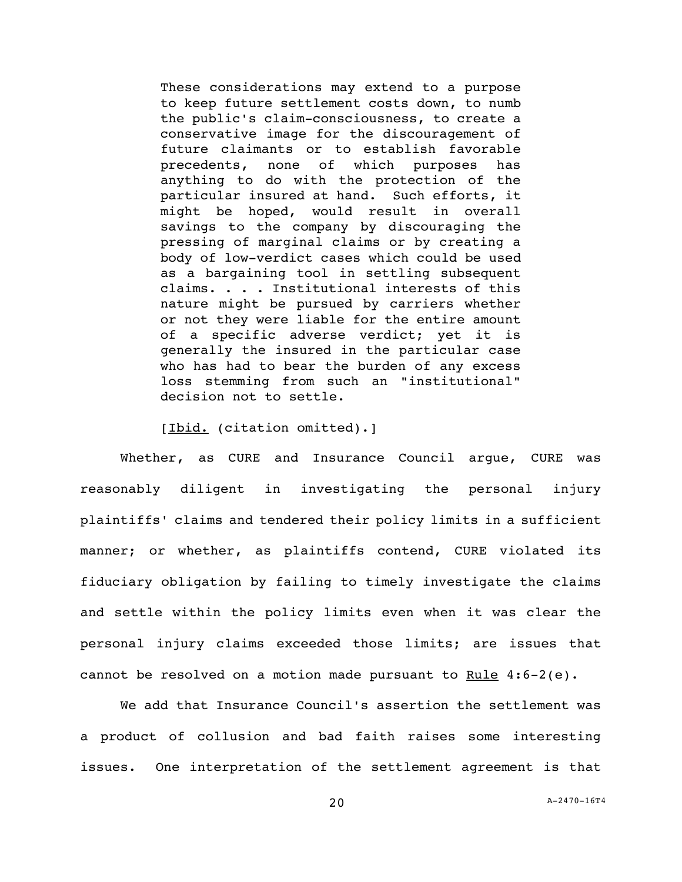These considerations may extend to a purpose to keep future settlement costs down, to numb the public's claim-consciousness, to create a conservative image for the discouragement of future claimants or to establish favorable precedents, none of which purposes has anything to do with the protection of the particular insured at hand. Such efforts, it might be hoped, would result in overall savings to the company by discouraging the pressing of marginal claims or by creating a body of low-verdict cases which could be used as a bargaining tool in settling subsequent claims. . . . Institutional interests of this nature might be pursued by carriers whether or not they were liable for the entire amount of a specific adverse verdict; yet it is generally the insured in the particular case who has had to bear the burden of any excess loss stemming from such an "institutional" decision not to settle.

[Ibid. (citation omitted).]

Whether, as CURE and Insurance Council argue, CURE was reasonably diligent in investigating the personal injury plaintiffs' claims and tendered their policy limits in a sufficient manner; or whether, as plaintiffs contend, CURE violated its fiduciary obligation by failing to timely investigate the claims and settle within the policy limits even when it was clear the personal injury claims exceeded those limits; are issues that cannot be resolved on a motion made pursuant to Rule  $4:6-2(e)$ .

We add that Insurance Council's assertion the settlement was a product of collusion and bad faith raises some interesting issues. One interpretation of the settlement agreement is that